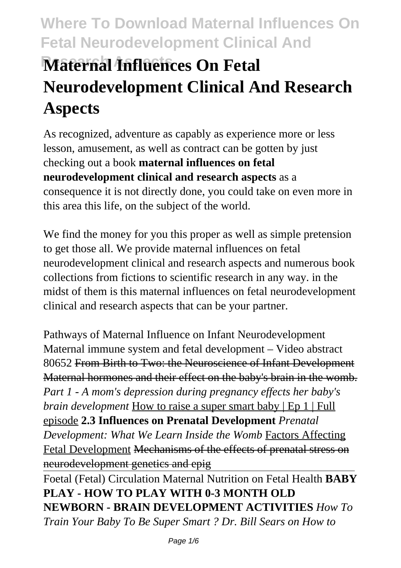# **Where To Download Maternal Influences On Fetal Neurodevelopment Clinical And Research Aspects Maternal Influences On Fetal Neurodevelopment Clinical And Research Aspects**

As recognized, adventure as capably as experience more or less lesson, amusement, as well as contract can be gotten by just checking out a book **maternal influences on fetal neurodevelopment clinical and research aspects** as a consequence it is not directly done, you could take on even more in this area this life, on the subject of the world.

We find the money for you this proper as well as simple pretension to get those all. We provide maternal influences on fetal neurodevelopment clinical and research aspects and numerous book collections from fictions to scientific research in any way. in the midst of them is this maternal influences on fetal neurodevelopment clinical and research aspects that can be your partner.

Pathways of Maternal Influence on Infant Neurodevelopment Maternal immune system and fetal development – Video abstract 80652 From Birth to Two: the Neuroscience of Infant Development Maternal hormones and their effect on the baby's brain in the womb. *Part 1 - A mom's depression during pregnancy effects her baby's brain development* How to raise a super smart baby | Ep 1 | Full episode **2.3 Influences on Prenatal Development** *Prenatal Development: What We Learn Inside the Womb* Factors Affecting Fetal Development Mechanisms of the effects of prenatal stress on neurodevelopment genetics and epig

Foetal (Fetal) Circulation Maternal Nutrition on Fetal Health **BABY PLAY - HOW TO PLAY WITH 0-3 MONTH OLD NEWBORN - BRAIN DEVELOPMENT ACTIVITIES** *How To Train Your Baby To Be Super Smart ? Dr. Bill Sears on How to*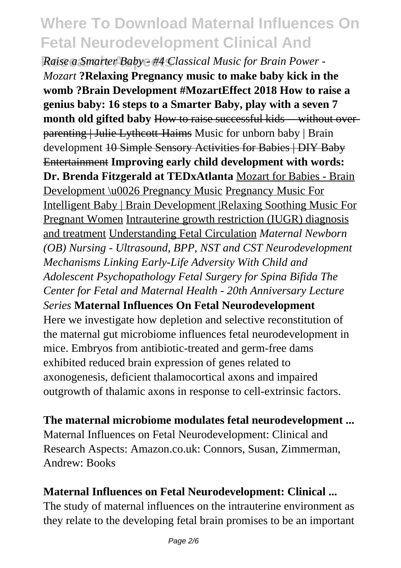**Raise a Smarter Baby - #4 Classical Music for Brain Power -***Mozart* **?Relaxing Pregnancy music to make baby kick in the womb ?Brain Development #MozartEffect 2018 How to raise a genius baby: 16 steps to a Smarter Baby, play with a seven 7 month old gifted baby** How to raise successful kids -- without overparenting | Julie Lythcott-Haims Music for unborn baby | Brain development 10 Simple Sensory Activities for Babies | DIY Baby Entertainment **Improving early child development with words: Dr. Brenda Fitzgerald at TEDxAtlanta** Mozart for Babies - Brain Development \u0026 Pregnancy Music Pregnancy Music For Intelligent Baby | Brain Development |Relaxing Soothing Music For Pregnant Women Intrauterine growth restriction (IUGR) diagnosis and treatment Understanding Fetal Circulation *Maternal Newborn (OB) Nursing - Ultrasound, BPP, NST and CST Neurodevelopment Mechanisms Linking Early-Life Adversity With Child and Adolescent Psychopathology Fetal Surgery for Spina Bifida The Center for Fetal and Maternal Health - 20th Anniversary Lecture Series* **Maternal Influences On Fetal Neurodevelopment** Here we investigate how depletion and selective reconstitution of the maternal gut microbiome influences fetal neurodevelopment in mice. Embryos from antibiotic-treated and germ-free dams exhibited reduced brain expression of genes related to axonogenesis, deficient thalamocortical axons and impaired outgrowth of thalamic axons in response to cell-extrinsic factors.

**The maternal microbiome modulates fetal neurodevelopment ...** Maternal Influences on Fetal Neurodevelopment: Clinical and Research Aspects: Amazon.co.uk: Connors, Susan, Zimmerman, Andrew: Books

#### **Maternal Influences on Fetal Neurodevelopment: Clinical ...**

The study of maternal influences on the intrauterine environment as they relate to the developing fetal brain promises to be an important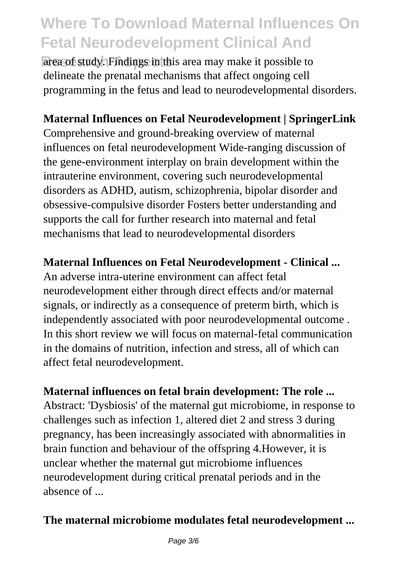area of study. Findings in this area may make it possible to delineate the prenatal mechanisms that affect ongoing cell programming in the fetus and lead to neurodevelopmental disorders.

### **Maternal Influences on Fetal Neurodevelopment | SpringerLink**

Comprehensive and ground-breaking overview of maternal influences on fetal neurodevelopment Wide-ranging discussion of the gene-environment interplay on brain development within the intrauterine environment, covering such neurodevelopmental disorders as ADHD, autism, schizophrenia, bipolar disorder and obsessive-compulsive disorder Fosters better understanding and supports the call for further research into maternal and fetal mechanisms that lead to neurodevelopmental disorders

#### **Maternal Influences on Fetal Neurodevelopment - Clinical ...**

An adverse intra-uterine environment can affect fetal neurodevelopment either through direct effects and/or maternal signals, or indirectly as a consequence of preterm birth, which is independently associated with poor neurodevelopmental outcome . In this short review we will focus on maternal-fetal communication in the domains of nutrition, infection and stress, all of which can affect fetal neurodevelopment.

#### **Maternal influences on fetal brain development: The role ...**

Abstract: 'Dysbiosis' of the maternal gut microbiome, in response to challenges such as infection 1, altered diet 2 and stress 3 during pregnancy, has been increasingly associated with abnormalities in brain function and behaviour of the offspring 4.However, it is unclear whether the maternal gut microbiome influences neurodevelopment during critical prenatal periods and in the absence of ...

### **The maternal microbiome modulates fetal neurodevelopment ...**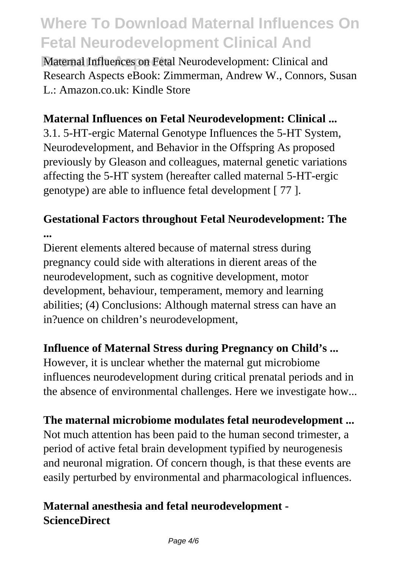**Maternal Influences on Fetal Neurodevelopment: Clinical and** Research Aspects eBook: Zimmerman, Andrew W., Connors, Susan L.: Amazon.co.uk: Kindle Store

#### **Maternal Influences on Fetal Neurodevelopment: Clinical ...**

3.1. 5-HT-ergic Maternal Genotype Influences the 5-HT System, Neurodevelopment, and Behavior in the Offspring As proposed previously by Gleason and colleagues, maternal genetic variations affecting the 5-HT system (hereafter called maternal 5-HT-ergic genotype) are able to influence fetal development [ 77 ].

### **Gestational Factors throughout Fetal Neurodevelopment: The ...**

Dierent elements altered because of maternal stress during pregnancy could side with alterations in dierent areas of the neurodevelopment, such as cognitive development, motor development, behaviour, temperament, memory and learning abilities; (4) Conclusions: Although maternal stress can have an in?uence on children's neurodevelopment,

#### **Influence of Maternal Stress during Pregnancy on Child's ...**

However, it is unclear whether the maternal gut microbiome influences neurodevelopment during critical prenatal periods and in the absence of environmental challenges. Here we investigate how...

#### **The maternal microbiome modulates fetal neurodevelopment ...**

Not much attention has been paid to the human second trimester, a period of active fetal brain development typified by neurogenesis and neuronal migration. Of concern though, is that these events are easily perturbed by environmental and pharmacological influences.

### **Maternal anesthesia and fetal neurodevelopment - ScienceDirect**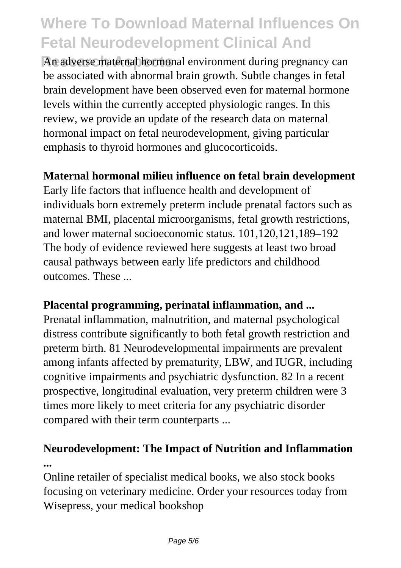An adverse maternal hormonal environment during pregnancy can be associated with abnormal brain growth. Subtle changes in fetal brain development have been observed even for maternal hormone levels within the currently accepted physiologic ranges. In this review, we provide an update of the research data on maternal hormonal impact on fetal neurodevelopment, giving particular emphasis to thyroid hormones and glucocorticoids.

#### **Maternal hormonal milieu influence on fetal brain development**

Early life factors that influence health and development of individuals born extremely preterm include prenatal factors such as maternal BMI, placental microorganisms, fetal growth restrictions, and lower maternal socioeconomic status. 101,120,121,189–192 The body of evidence reviewed here suggests at least two broad causal pathways between early life predictors and childhood outcomes. These ...

#### **Placental programming, perinatal inflammation, and ...**

Prenatal inflammation, malnutrition, and maternal psychological distress contribute significantly to both fetal growth restriction and preterm birth. 81 Neurodevelopmental impairments are prevalent among infants affected by prematurity, LBW, and IUGR, including cognitive impairments and psychiatric dysfunction. 82 In a recent prospective, longitudinal evaluation, very preterm children were 3 times more likely to meet criteria for any psychiatric disorder compared with their term counterparts ...

### **Neurodevelopment: The Impact of Nutrition and Inflammation ...**

Online retailer of specialist medical books, we also stock books focusing on veterinary medicine. Order your resources today from Wisepress, your medical bookshop